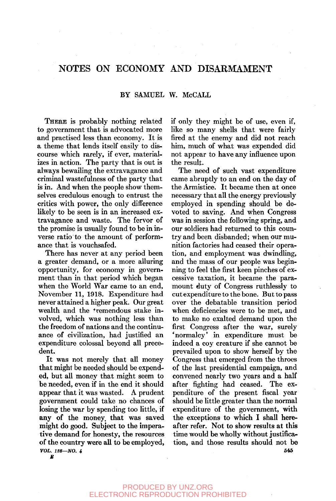# NOTES ON ECONOMY AND DISARMAMENT

## BY SAMUEL W. McCALL

THERE is probably nothing related to government that is advocated more and practised less than economy. It is a theme that lends itself easily to discourse which rarely, if ever, materializes in action. The party that is out is always bewailing the extravagance and criminal wastefulness of the party that is in. And when the people show themselves credulous enough to entrust the critics with power, the only difference likely to be seen is in an increased extravagance and waste. The fervor of the promise is usually found to be in inverse ratio to the amount of performance that is vouchsafed.

There has never at any period been a greater demand, or a more alluring opportunity, for economy in government than in that period which began when the World War came to an end, November 11, 1918. Expenditure had never attained a higher peak. Our great wealth and the tremendous stake involved, which was nothing less than the freedom of nations and the continuance of civilization, had justified an expenditure colossal beyond all precedent.

It was not merely that all money that might be needed should be expended, but all money that might seem to be needed, even if in the end it should appear that it was wasted. A prudent government could take no chances of losing the war by spending too little, if any of the money, that was saved might do good. Subject to the imperative demand for honesty, the resources of the country were all to be employed, *VOL. 128—NO. i* 

if only they might be of use, even if, like so many shells that were fairly fired at the enemy and did not reach him, much of what was expended did not appear to have any influence upon the result.

The need of such vast expenditure came abruptly to an end on the day of the Armistice. It became then at once necessary that all the energy previously employed in spending should be devoted to saving. And when Congress was in session the following spring, and our soldiers had returned to this country and been disbanded; when our munition factories had ceased their operation, and employment was dwindling, and the mass of our people was beginning to feel the first keen pinches of excessive taxation, it became the paramount duty of Congress ruthlessly to cut expenditure to the bone. But to pass over the debatable transition period when deficiencies were to be met, and to make no exalted demand upon the first Congress after the war, surely 'normalcy' in expenditure must be indeed a coy creature if she cannot be prevailed upon to show herself by the Congress that emerged from the throes of the last presidential campaign, and convened nearly two years and a half after fighting had ceased. The expenditure of the present fiscal year should be little greater than the normal expenditure of the government, with the exceptions to which I shall hereafter refer. Not to show results at this time would be wholly without justification, and those results should not be **545**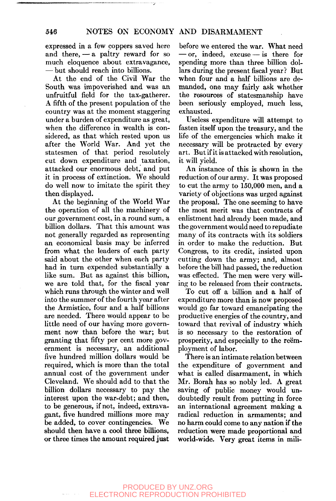expressed in a few coppers saved here and there, — a paltry reward for so much eloquence about extravagance, — but should reach into billions.

At the end of the Civil War the South was impoverished and was an unfruitful field for the tax-gatherer. A fifth of the present population of the country was at the moment staggering under a burden of expenditure as great, when the difference in wealth is considered, as that which rested upon us after the World War. And yet the statesmen of that period resolutely cut down expenditure and taxation, attacked our enormous debt, and put it in process of extinction. We should do well now to imitate the spirit they then displayed.

At the beginning of the World War the operation of all the machinery of our government cost, in a round sum, a billion dollars. That this amount was not generally regarded as representing an economical basis may be inferred from what the leaders of each party said about the other when each party had in turn expended substantially a like sum. But as against this billion, we are told that, for the fiscal year which runs through the winter and well into the summer of the fourth year after the Armistice, four and a half billions are needed. There would appear to be little need of our having more government now than before the war; but granting that fifty per cent more government is necessary, an additional five hundred million dollars would be required, which is more than the total annual cost of the government under Cleveland. We should add to that the billion dollars necessary to pay the interest upon the war-debt; and then, to be generous, if not, indeed, extravagant, five hundred millions more may be added, to cover contingencies. We should then have a cool three billions, or three times the amount required just

before we entered the war. What need — or, indeed, excuse — is there for spending more than three billion dollars during the present fiscal year? But when four and a half billions are demanded, one may fairly ask whether the resources of statesmanship have been seriously employed, much less, exhausted.

Useless expenditure will attempt to fasten itself upon the treasury, and the life of the emergencies which make it necessary will be protracted by every art. But if it is attacked with resolution, it will yield.

An instance of this is shown in the reduction of our army. It was proposed to cut the army to 150,000 men, and a variety of objections was urged against the proposal. The one seeming to have the most merit was that contracts of enlistment had already been made, and the government would need to repudiate many of its contracts with its soldiers in order to make the reduction. But Congress, to its credit, insisted upon cutting down the army; and, almost before the bill had passed, the reduction was effected. The men were very willing to be released from their contracts.

To cut off a billion and a half of expenditure more than is now proposed would go far toward emancipating the productive energies of the country, and toward that revival of industry which is so necessary to the restoration of prosperity, and especially to the reemployment of labor.

There is an intimate relation between the expenditure of government and what is called disarmament, in which Mr. Borah has so nobly led. A great saving of public money would undoubtedly result from putting in force an international agreement making a radical reduction in armaments; and no harm could come to any nation if the reduction were made proportional and world-wide. Very great items in mill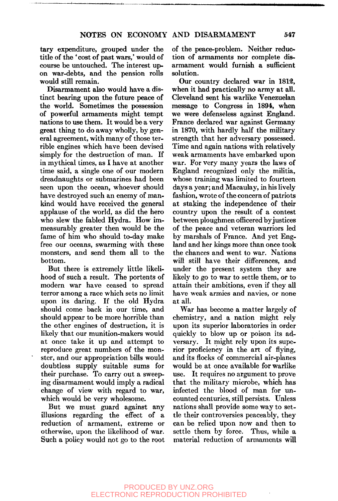tary expenditure, grouped under the title of the 'cost of past wars,' would of course be untouched. The interest upon war-debts, and the pension rolls would still remain.

Disarmament also would have a distinct bearing upon the future peace of the world. Sometimes the possession of powerful armaments might tempt nations to use them. It would be a very great thing to do away wholly, by general agreement, with many of those terrible engines which have been devised simply for the destruction of man. If in mythical times, as I have at another time said, a single one of our modern dreadnaughts or submarines had been seen upon the ocean, whoever should have destroyed such an enemy of mankind would have received the general applause of the world, as did the hero who slew the fabled Hydra. How immeasurably greater then would be the fame of him who should to-day make free our oceans, swarming with these monsters, and send them all to the bottom.

But there is extremely little likelihood of such a result. The portents of modern war have ceased to spread terror among a race which sets no limit upon its daring. If the old Hydra should come back in our time, and should appear to be more horrible than the other engines of destruction, it is likely that our munition-makers would at once take it up and attempt to reproduce great numbers of the monster, and our appropriation bills would doubtless supply suitable sums for their purchase. To carry out a sweeping disarmament would imply a radical change of view with regard to war, which would be very wholesome.

But we must guard against any illusions regarding the effect of a reduction of armament, extreme or otherwise, upon the likelihood of war. Such a policy would not go to the root of the peace-problem. Neither reduction of armaments nor complete disarmament would furnish a sufficient solution.

Our country declared war in 1812, when it had practically no army at all. Cleveland sent his warlike Venezuelan message to Congress in 1894, when we were defenseless against England. France declared war against Germany in 1870, with hardly half the military strength that her adversary possessed. Time and again nations with relatively weak armaments have embarked upon war. For very many years the laws of England recognized only the militia, whose training was limited to fourteen days a year; and Macaulay, in his lively fashion, wrote of the concern of patriots at staking the independence of their country upon the result of a contest between ploughmen officered by justices of the peace and veteran warriors led by marshals of France. And yet England and her kings more than once took the chances and went to war. Nations will still have their differences, and under the present system they are likely to go to war to settle them, or to attain their ambitions, even if they all have weak armies and navies, or none at all.

War has become a matter largely of chemistry, and a nation might rely upon its superior laboratories in order quickly to blow up or poison its adversary. It might rely upon its superior proficiency in the art of flying, and its flocks of commercial air-planes would be at once available for warlike use. It requires no argument to prove that the military microbe, which has infected the blood of man for uncounted centuries, stiU persists. Unless nations shall provide some way to settle their controversies peaceably, they can be relied upon now and then to settle them by force. Thus, while a material reduction of armaments will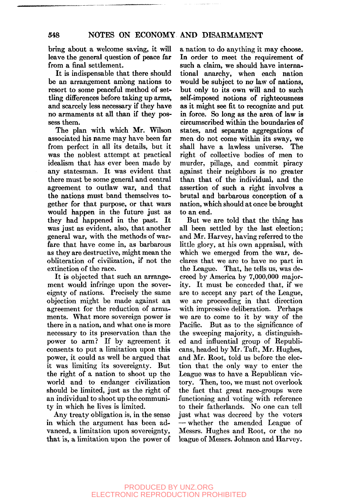bring about a welcome saving, it will leave the general question of peace far from a final settlement.

It is indispensable that there should be an arrangement among nations to resort to some peaceful method of settling differences before taking up arms, and scarcely less necessary if they have no armaments at all than if they possess them.

The plan with which Mr. Wilson associated his name may have been far from perfect in all its details, but it was the noblest attempt at practical idealism that has ever been made by any statesman. It was evident that there must be some general and central agreement to outlaw war, and that the nations must band themselves together for that purpose, or that wars would happen in the future just as they had happened in the past. It was just as evident, also, that another general war, with the methods of warfare that have come in, as barbarous as they are destructive, might mean the obliteration of civilization, if not the extinction of the race.

It is objected that such an arrangement would infringe upon the sovereignty of nations. Precisely the same objection might be made against an agreement for the reduction of armaments. What more sovereign power is there in a nation, and what one is more necessary to its preservation than the power to arm? If by agreement it consents to put a limitation upon this power, it could as well be argued that it was limiting its sovereignty. But the right of a nation to shoot up the world and to endanger civilization should be limited, just as the right of an individual to shoot up the community in which he lives is limited.

Any treaty obligation is, in the sense in which the argument has been advanced, a limitation upon sovereignty, that is, a limitation upon the power of

a nation to do anything it may choose. In order to meet the requirement of such a claim, we should have international anarchy, when each nation would be subject to no law of nations, but only to its own will and to such self-imposed notions of righteousness as it might see fit to recognize and put in force. So long as the area of law is circumscribed within the boundaries of states, and separate aggregations of men do not come within its sway, we shall have a lawless universe. The right of collective bodies of men to murder, pillage, and commit piracy against their neighbors is no greater than that of the individual, and the assertion of such a right involves a brutal and barbarous conception of a nation, which should at once be brought to an end.

But we are told that the thing has all been settled by the last election; and Mr. Harvey, having referred to the little glory, at his own appraisal, with which we emerged from the war, declares that we are to have no part in the League. That, he tells us, was decreed by America by 7,000,000 majority. It must be conceded that, if we are to accept any part of the League, we are proceeding in that direction with impressive deliberation. Perhaps we are to come to it by way of the Pacific. But as to the significance of the sweeping majority, a distinguished and influential group of Republicans, headed by Mr. Taft, Mr. Hughes, and Mr. Root, told us before the election that the only way to enter the League was to have a Republican victory. Then, too, we must not overlook the fact that great race-groups were functioning and voting with reference to their fatherlands. No one can tell just what was decreed by the voters — whether the amended League of Messrs. Hughes and Root, or the no league of Messrs. Johnson and Harvey.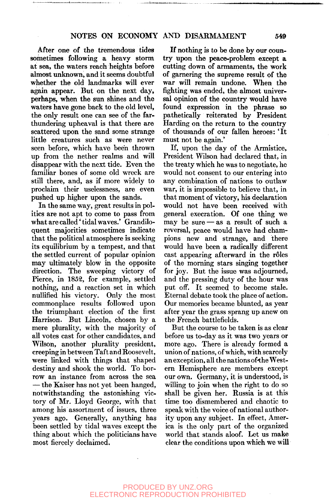## NOTES ON ECONOMY AND DISARMAMENT 549

After one of the tremendous tides sometimes following a heavy storm at sea, the waters reach heights before almost unknown, and it seems doubtful whether the old landmarks will ever again appear. But on the next day, perhaps, when the sun shines and the waters have gone back to the old level, the only result one can see of the farthundering upheaval is that there are scattered upon the sand some strange little creatures such as were never seen before, which have been thrown up from the nether realms and will disappear with the next tide. Even the familiar bones of some old wreck are still there, and, as if more widely to proclaim their uselessness, are even pushed up higher upon the sands.

In the same way, great results in politics are not apt to come to pass from what are called' tidal waves.' Grandiloquent majorities sometimes indicate that the political atmosphere is seeking its equilibrium by a tempest, and that the settled current of popular opinion may ultimately blow in the opposite direction. The sweeping victory of Pierce, in 1852, for example, settled nothing, and a reaction set in which nullified his victory. Only the most commonplace results followed upon the triumphant election of the first Harrison. But Lincoln, chosen by a mere plurality, with the majority of all votes cast for other candidates, and Wilson, another plurality president, creeping in between Taft and Roosevelt, were linked with things that shaped destiny and shook the world. To borrow an instance from across the sea *—* the Kaiser has not yet been hanged, notwithstanding the astonishing victory of Mr. Lloyd George, with that among his assortment of issues, three years ago. Generally, anything has been settled by tidal waves except the thing about which the politicians have most fiercely declaimed.

If nothing is to be done by our country upon the peace-problem except a cutting down of armaments, the work of garnering the supreme result of the war will remain undone. When the fighting was ended, the almost universal opinion of the country would have found expression in the phrase so pathetically reiterated by President Harding on the return to the country of thousands of our fallen heroes: 'It must not be again.'

If, upon the day of the Armistice, President Wilson had declared that, in the treaty which he was to negotiate, he would not consent to our entering into any combination of nations to outlaw war, it is impossible to believe that, in that moment of victory, his declaration would not have been received with general execration. Of one thing we may be sure — as a result of such a reversal, peace would have had champions new and strange, and there would have been a radically different cast appearing afterward in the rôles of the morning stars singing together for joy. But the issue was adjourned, and the pressing duty of the hour was put off. It seemed to become stale. Eternal debate took the place of action. Our memories became blunted, as year after year the grass sprang up anew on the French battlefields.

But the course to be taken is as clear before us to-day as it was two years or more ago. There is already formed a union of nations, of which, with scarcely an exception, all the nations of the Western Hemisphere are members except our own. Germany, it is understood, is willing to join when the right to do so shall be given her. Russia is at this time too dismembered and chaotic to speak with the voice of national authority upon any subject. In effect, America is the only part of the organized world that stands aloof. Let us make clear the conditions upon which we will

PRODUCED BY UNZ.ORG ELECTRONIC REPRODUCTION PROHIBITED